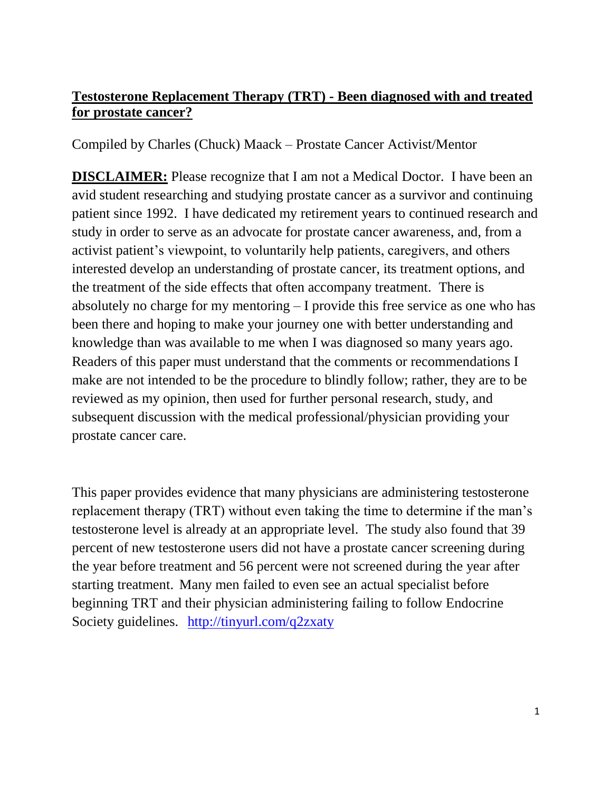# **Testosterone Replacement Therapy (TRT) - Been diagnosed with and treated for prostate cancer?**

Compiled by Charles (Chuck) Maack – Prostate Cancer Activist/Mentor

**DISCLAIMER:** Please recognize that I am not a Medical Doctor. I have been an avid student researching and studying prostate cancer as a survivor and continuing patient since 1992. I have dedicated my retirement years to continued research and study in order to serve as an advocate for prostate cancer awareness, and, from a activist patient's viewpoint, to voluntarily help patients, caregivers, and others interested develop an understanding of prostate cancer, its treatment options, and the treatment of the side effects that often accompany treatment. There is absolutely no charge for my mentoring – I provide this free service as one who has been there and hoping to make your journey one with better understanding and knowledge than was available to me when I was diagnosed so many years ago. Readers of this paper must understand that the comments or recommendations I make are not intended to be the procedure to blindly follow; rather, they are to be reviewed as my opinion, then used for further personal research, study, and subsequent discussion with the medical professional/physician providing your prostate cancer care.

This paper provides evidence that many physicians are administering testosterone replacement therapy (TRT) without even taking the time to determine if the man's testosterone level is already at an appropriate level. The study also found that 39 percent of new testosterone users did not have a prostate cancer screening during the year before treatment and 56 percent were not screened during the year after starting treatment. Many men failed to even see an actual specialist before beginning TRT and their physician administering failing to follow Endocrine Society guidelines. <http://tinyurl.com/q2zxaty>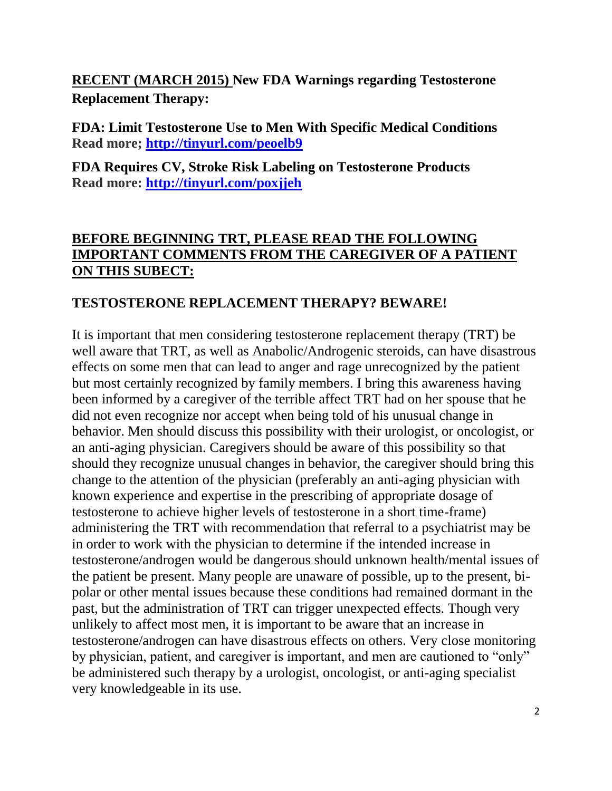**RECENT (MARCH 2015) New FDA Warnings regarding Testosterone Replacement Therapy:**

**FDA: Limit Testosterone Use to Men With Specific Medical Conditions Read more;<http://tinyurl.com/peoelb9>**

**FDA Requires CV, Stroke Risk Labeling on Testosterone Products Read more:<http://tinyurl.com/poxjjeh>**

## **BEFORE BEGINNING TRT, PLEASE READ THE FOLLOWING IMPORTANT COMMENTS FROM THE CAREGIVER OF A PATIENT ON THIS SUBECT:**

#### **TESTOSTERONE REPLACEMENT THERAPY? BEWARE!**

It is important that men considering testosterone replacement therapy (TRT) be well aware that TRT, as well as Anabolic/Androgenic steroids, can have disastrous effects on some men that can lead to anger and rage unrecognized by the patient but most certainly recognized by family members. I bring this awareness having been informed by a caregiver of the terrible affect TRT had on her spouse that he did not even recognize nor accept when being told of his unusual change in behavior. Men should discuss this possibility with their urologist, or oncologist, or an anti-aging physician. Caregivers should be aware of this possibility so that should they recognize unusual changes in behavior, the caregiver should bring this change to the attention of the physician (preferably an anti-aging physician with known experience and expertise in the prescribing of appropriate dosage of testosterone to achieve higher levels of testosterone in a short time-frame) administering the TRT with recommendation that referral to a psychiatrist may be in order to work with the physician to determine if the intended increase in testosterone/androgen would be dangerous should unknown health/mental issues of the patient be present. Many people are unaware of possible, up to the present, bipolar or other mental issues because these conditions had remained dormant in the past, but the administration of TRT can trigger unexpected effects. Though very unlikely to affect most men, it is important to be aware that an increase in testosterone/androgen can have disastrous effects on others. Very close monitoring by physician, patient, and caregiver is important, and men are cautioned to "only" be administered such therapy by a urologist, oncologist, or anti-aging specialist very knowledgeable in its use.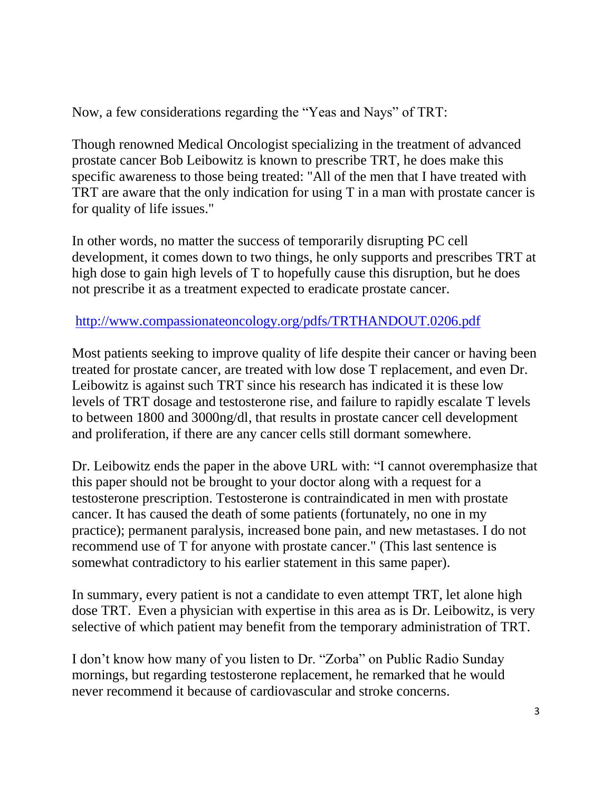Now, a few considerations regarding the "Yeas and Nays" of TRT:

Though renowned Medical Oncologist specializing in the treatment of advanced prostate cancer Bob Leibowitz is known to prescribe TRT, he does make this specific awareness to those being treated: "All of the men that I have treated with TRT are aware that the only indication for using T in a man with prostate cancer is for quality of life issues."

In other words, no matter the success of temporarily disrupting PC cell development, it comes down to two things, he only supports and prescribes TRT at high dose to gain high levels of T to hopefully cause this disruption, but he does not prescribe it as a treatment expected to eradicate prostate cancer.

## <http://www.compassionateoncology.org/pdfs/TRTHANDOUT.0206.pdf>

Most patients seeking to improve quality of life despite their cancer or having been treated for prostate cancer, are treated with low dose T replacement, and even Dr. Leibowitz is against such TRT since his research has indicated it is these low levels of TRT dosage and testosterone rise, and failure to rapidly escalate T levels to between 1800 and 3000ng/dl, that results in prostate cancer cell development and proliferation, if there are any cancer cells still dormant somewhere.

Dr. Leibowitz ends the paper in the above URL with: "I cannot overemphasize that this paper should not be brought to your doctor along with a request for a testosterone prescription. Testosterone is contraindicated in men with prostate cancer. It has caused the death of some patients (fortunately, no one in my practice); permanent paralysis, increased bone pain, and new metastases. I do not recommend use of T for anyone with prostate cancer." (This last sentence is somewhat contradictory to his earlier statement in this same paper).

In summary, every patient is not a candidate to even attempt TRT, let alone high dose TRT. Even a physician with expertise in this area as is Dr. Leibowitz, is very selective of which patient may benefit from the temporary administration of TRT.

I don't know how many of you listen to Dr. "Zorba" on Public Radio Sunday mornings, but regarding testosterone replacement, he remarked that he would never recommend it because of cardiovascular and stroke concerns.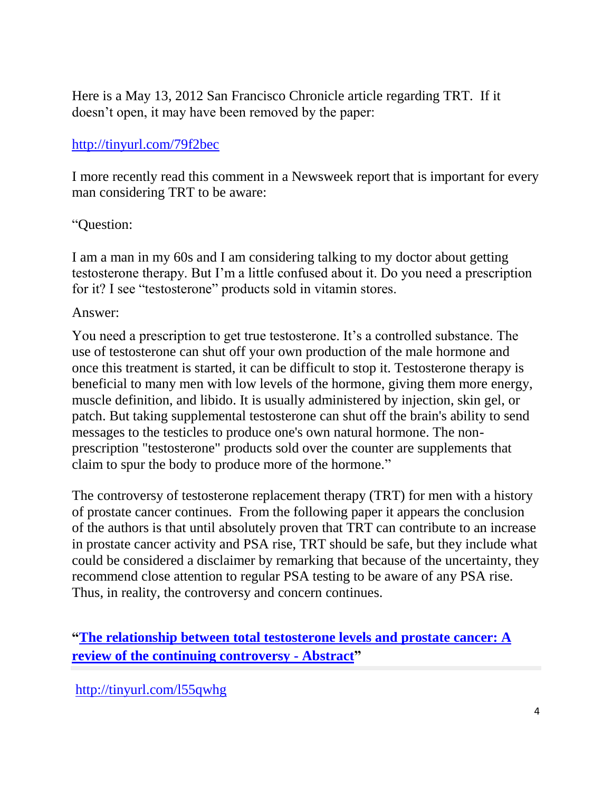Here is a May 13, 2012 San Francisco Chronicle article regarding TRT. If it doesn't open, it may have been removed by the paper:

#### <http://tinyurl.com/79f2bec>

I more recently read this comment in a Newsweek report that is important for every man considering TRT to be aware:

#### "Question:

I am a man in my 60s and I am considering talking to my doctor about getting testosterone therapy. But I'm a little confused about it. Do you need a prescription for it? I see "testosterone" products sold in vitamin stores.

#### Answer:

You need a prescription to get true testosterone. It's a controlled substance. The use of testosterone can shut off your own production of the male hormone and once this treatment is started, it can be difficult to stop it. Testosterone therapy is beneficial to many men with low levels of the hormone, giving them more energy, muscle definition, and libido. It is usually administered by injection, skin gel, or patch. But taking supplemental testosterone can shut off the brain's ability to send messages to the testicles to produce one's own natural hormone. The nonprescription "testosterone" products sold over the counter are supplements that claim to spur the body to produce more of the hormone."

The controversy of testosterone replacement therapy (TRT) for men with a history of prostate cancer continues. From the following paper it appears the conclusion of the authors is that until absolutely proven that TRT can contribute to an increase in prostate cancer activity and PSA rise, TRT should be safe, but they include what could be considered a disclaimer by remarking that because of the uncertainty, they recommend close attention to regular PSA testing to be aware of any PSA rise. Thus, in reality, the controversy and concern continues.

**["The relationship between total testosterone levels and prostate cancer: A](http://www.urotoday.com/prostate-cancer/76075-the-relationship-between-total-testosterone-levels-and-prostate-cancer-a-review-of-the-continuing-controversy-abstract.html)  [review of the continuing controversy -](http://www.urotoday.com/prostate-cancer/76075-the-relationship-between-total-testosterone-levels-and-prostate-cancer-a-review-of-the-continuing-controversy-abstract.html) Abstract"**

<http://tinyurl.com/l55qwhg>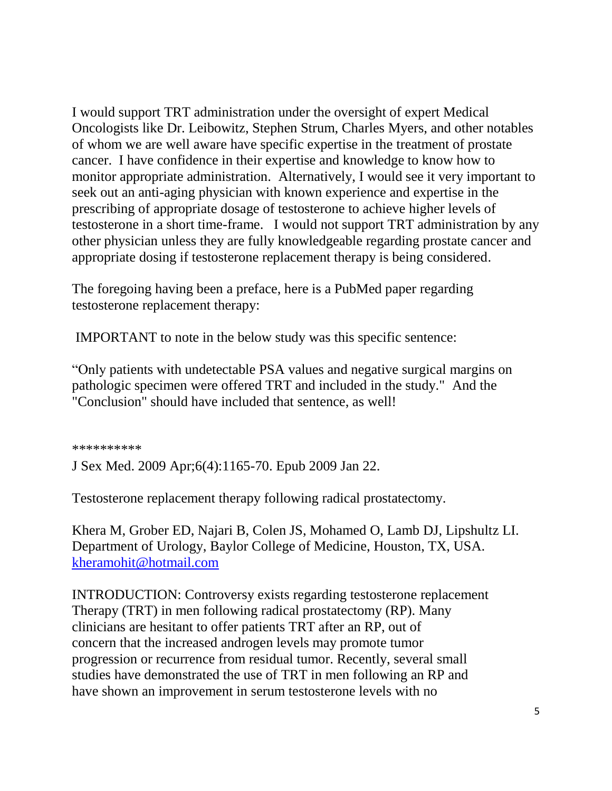I would support TRT administration under the oversight of expert Medical Oncologists like Dr. Leibowitz, Stephen Strum, Charles Myers, and other notables of whom we are well aware have specific expertise in the treatment of prostate cancer. I have confidence in their expertise and knowledge to know how to monitor appropriate administration. Alternatively, I would see it very important to seek out an anti-aging physician with known experience and expertise in the prescribing of appropriate dosage of testosterone to achieve higher levels of testosterone in a short time-frame. I would not support TRT administration by any other physician unless they are fully knowledgeable regarding prostate cancer and appropriate dosing if testosterone replacement therapy is being considered.

The foregoing having been a preface, here is a PubMed paper regarding testosterone replacement therapy:

IMPORTANT to note in the below study was this specific sentence:

"Only patients with undetectable PSA values and negative surgical margins on pathologic specimen were offered TRT and included in the study." And the "Conclusion" should have included that sentence, as well!

\*\*\*\*\*\*\*\*\*\*

J Sex Med. 2009 Apr;6(4):1165-70. Epub 2009 Jan 22.

Testosterone replacement therapy following radical prostatectomy.

Khera M, Grober ED, Najari B, Colen JS, Mohamed O, Lamb DJ, Lipshultz LI. Department of Urology, Baylor College of Medicine, Houston, TX, USA. [kheramohit@hotmail.com](mailto:kheramohit@hotmail.com)

INTRODUCTION: Controversy exists regarding testosterone replacement Therapy (TRT) in men following radical prostatectomy (RP). Many clinicians are hesitant to offer patients TRT after an RP, out of concern that the increased androgen levels may promote tumor progression or recurrence from residual tumor. Recently, several small studies have demonstrated the use of TRT in men following an RP and have shown an improvement in serum testosterone levels with no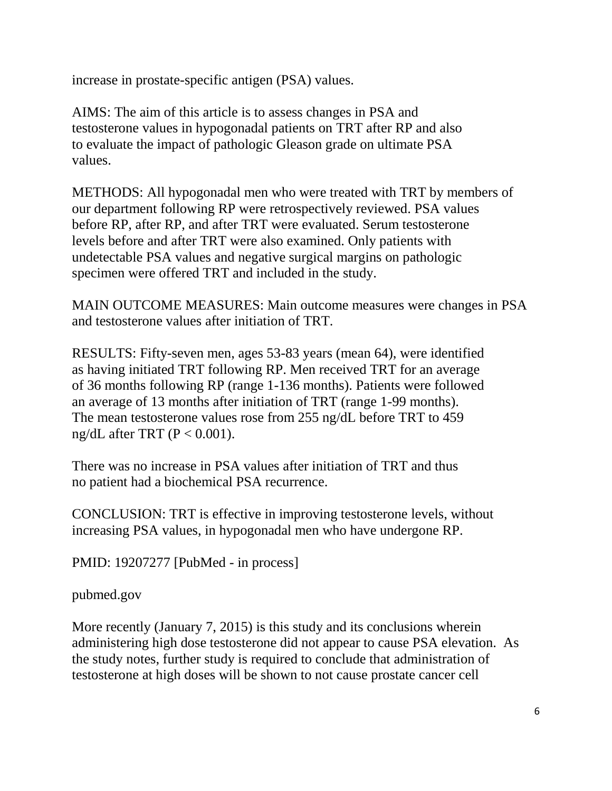increase in prostate-specific antigen (PSA) values.

AIMS: The aim of this article is to assess changes in PSA and testosterone values in hypogonadal patients on TRT after RP and also to evaluate the impact of pathologic Gleason grade on ultimate PSA values.

METHODS: All hypogonadal men who were treated with TRT by members of our department following RP were retrospectively reviewed. PSA values before RP, after RP, and after TRT were evaluated. Serum testosterone levels before and after TRT were also examined. Only patients with undetectable PSA values and negative surgical margins on pathologic specimen were offered TRT and included in the study.

MAIN OUTCOME MEASURES: Main outcome measures were changes in PSA and testosterone values after initiation of TRT.

RESULTS: Fifty-seven men, ages 53-83 years (mean 64), were identified as having initiated TRT following RP. Men received TRT for an average of 36 months following RP (range 1-136 months). Patients were followed an average of 13 months after initiation of TRT (range 1-99 months). The mean testosterone values rose from 255 ng/dL before TRT to 459 ng/dL after TRT  $(P < 0.001)$ .

There was no increase in PSA values after initiation of TRT and thus no patient had a biochemical PSA recurrence.

CONCLUSION: TRT is effective in improving testosterone levels, without increasing PSA values, in hypogonadal men who have undergone RP.

PMID: 19207277 [PubMed - in process]

pubmed.gov

More recently (January 7, 2015) is this study and its conclusions wherein administering high dose testosterone did not appear to cause PSA elevation. As the study notes, further study is required to conclude that administration of testosterone at high doses will be shown to not cause prostate cancer cell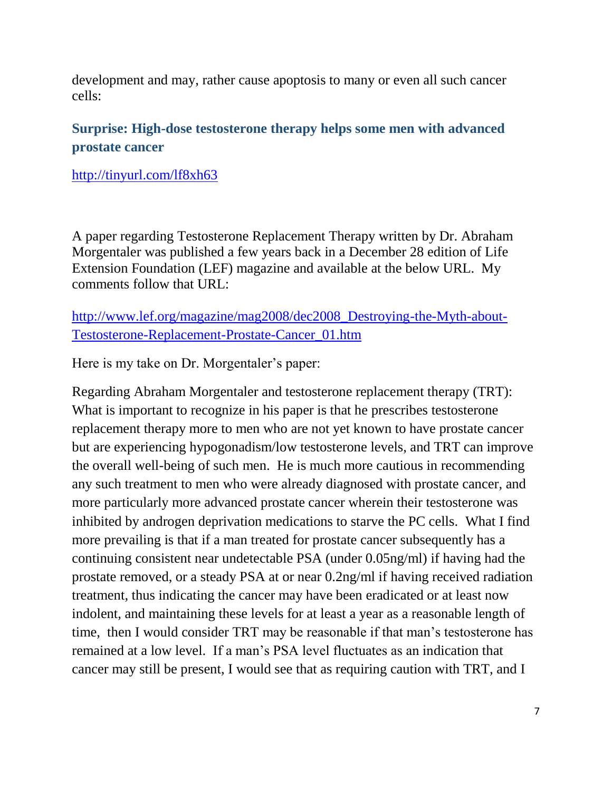development and may, rather cause apoptosis to many or even all such cancer cells:

## **Surprise: High-dose testosterone therapy helps some men with advanced prostate cancer**

<http://tinyurl.com/lf8xh63>

A paper regarding Testosterone Replacement Therapy written by Dr. Abraham Morgentaler was published a few years back in a December 28 edition of Life Extension Foundation (LEF) magazine and available at the below URL. My comments follow that URL:

[http://www.lef.org/magazine/mag2008/dec2008\\_Destroying-the-Myth-about-](http://www.lef.org/magazine/mag2008/dec2008_Destroying-the-Myth-about-Testosterone-Replacement-Prostate-Cancer_01.htm)[Testosterone-Replacement-Prostate-Cancer\\_01.htm](http://www.lef.org/magazine/mag2008/dec2008_Destroying-the-Myth-about-Testosterone-Replacement-Prostate-Cancer_01.htm)

Here is my take on Dr. Morgentaler's paper:

Regarding Abraham Morgentaler and testosterone replacement therapy (TRT): What is important to recognize in his paper is that he prescribes testosterone replacement therapy more to men who are not yet known to have prostate cancer but are experiencing hypogonadism/low testosterone levels, and TRT can improve the overall well-being of such men. He is much more cautious in recommending any such treatment to men who were already diagnosed with prostate cancer, and more particularly more advanced prostate cancer wherein their testosterone was inhibited by androgen deprivation medications to starve the PC cells. What I find more prevailing is that if a man treated for prostate cancer subsequently has a continuing consistent near undetectable PSA (under 0.05ng/ml) if having had the prostate removed, or a steady PSA at or near 0.2ng/ml if having received radiation treatment, thus indicating the cancer may have been eradicated or at least now indolent, and maintaining these levels for at least a year as a reasonable length of time, then I would consider TRT may be reasonable if that man's testosterone has remained at a low level. If a man's PSA level fluctuates as an indication that cancer may still be present, I would see that as requiring caution with TRT, and I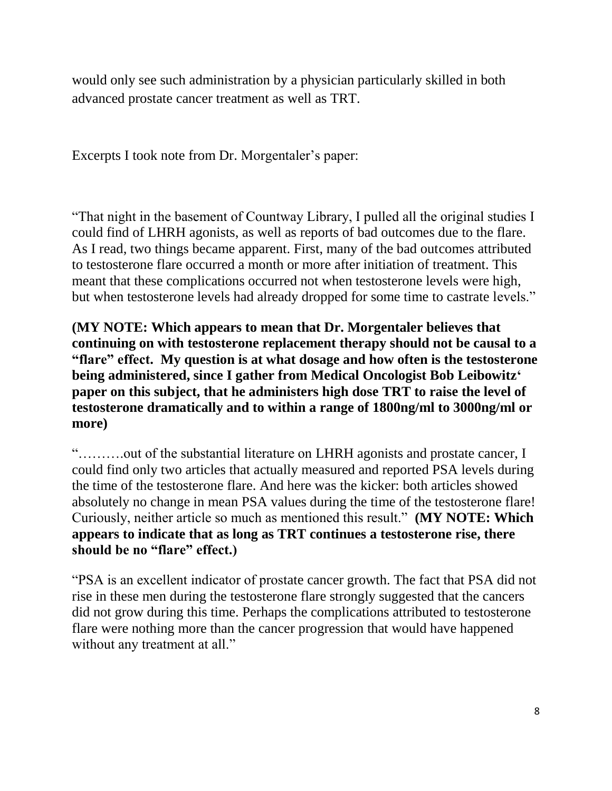would only see such administration by a physician particularly skilled in both advanced prostate cancer treatment as well as TRT.

Excerpts I took note from Dr. Morgentaler's paper:

"That night in the basement of Countway Library, I pulled all the original studies I could find of LHRH agonists, as well as reports of bad outcomes due to the flare. As I read, two things became apparent. First, many of the bad outcomes attributed to testosterone flare occurred a month or more after initiation of treatment. This meant that these complications occurred not when testosterone levels were high, but when testosterone levels had already dropped for some time to castrate levels."

**(MY NOTE: Which appears to mean that Dr. Morgentaler believes that continuing on with testosterone replacement therapy should not be causal to a "flare" effect. My question is at what dosage and how often is the testosterone being administered, since I gather from Medical Oncologist Bob Leibowitz' paper on this subject, that he administers high dose TRT to raise the level of testosterone dramatically and to within a range of 1800ng/ml to 3000ng/ml or more)** 

"……….out of the substantial literature on LHRH agonists and prostate cancer, I could find only two articles that actually measured and reported PSA levels during the time of the testosterone flare. And here was the kicker: both articles showed absolutely no change in mean PSA values during the time of the testosterone flare! Curiously, neither article so much as mentioned this result." **(MY NOTE: Which appears to indicate that as long as TRT continues a testosterone rise, there should be no "flare" effect.)**

"PSA is an excellent indicator of prostate cancer growth. The fact that PSA did not rise in these men during the testosterone flare strongly suggested that the cancers did not grow during this time. Perhaps the complications attributed to testosterone flare were nothing more than the cancer progression that would have happened without any treatment at all."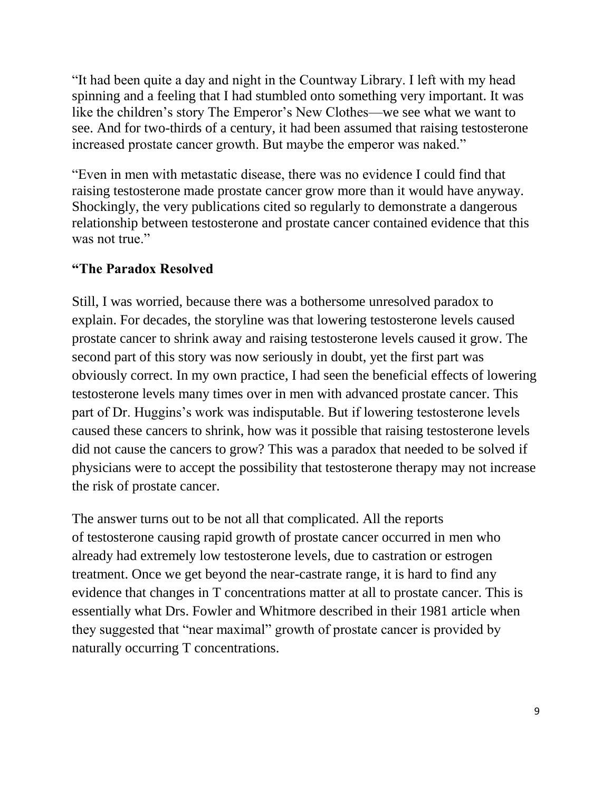"It had been quite a day and night in the Countway Library. I left with my head spinning and a feeling that I had stumbled onto something very important. It was like the children's story The Emperor's New Clothes—we see what we want to see. And for two-thirds of a century, it had been assumed that raising testosterone increased prostate cancer growth. But maybe the emperor was naked."

"Even in men with metastatic disease, there was no evidence I could find that raising testosterone made prostate cancer grow more than it would have anyway. Shockingly, the very publications cited so regularly to demonstrate a dangerous relationship between testosterone and prostate cancer contained evidence that this was not true."

## **"The Paradox Resolved**

Still, I was worried, because there was a bothersome unresolved paradox to explain. For decades, the storyline was that lowering testosterone levels caused prostate cancer to shrink away and raising testosterone levels caused it grow. The second part of this story was now seriously in doubt, yet the first part was obviously correct. In my own practice, I had seen the beneficial effects of lowering testosterone levels many times over in men with advanced prostate cancer. This part of Dr. Huggins's work was indisputable. But if lowering testosterone levels caused these cancers to shrink, how was it possible that raising testosterone levels did not cause the cancers to grow? This was a paradox that needed to be solved if physicians were to accept the possibility that testosterone therapy may not increase the risk of prostate cancer.

The answer turns out to be not all that complicated. All the reports of testosterone causing rapid growth of prostate cancer occurred in men who already had extremely low testosterone levels, due to castration or estrogen treatment. Once we get beyond the near-castrate range, it is hard to find any evidence that changes in T concentrations matter at all to prostate cancer. This is essentially what Drs. Fowler and Whitmore described in their 1981 article when they suggested that "near maximal" growth of prostate cancer is provided by naturally occurring T concentrations.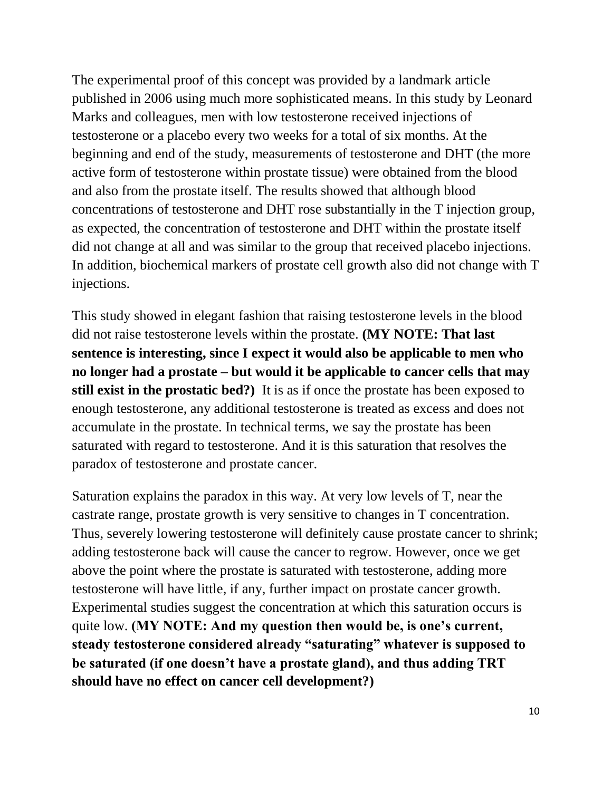The experimental proof of this concept was provided by a landmark article published in 2006 using much more sophisticated means. In this study by Leonard Marks and colleagues, men with low testosterone received injections of testosterone or a placebo every two weeks for a total of six months. At the beginning and end of the study, measurements of testosterone and DHT (the more active form of testosterone within prostate tissue) were obtained from the blood and also from the prostate itself. The results showed that although blood concentrations of testosterone and DHT rose substantially in the T injection group, as expected, the concentration of testosterone and DHT within the prostate itself did not change at all and was similar to the group that received placebo injections. In addition, biochemical markers of prostate cell growth also did not change with T injections.

This study showed in elegant fashion that raising testosterone levels in the blood did not raise testosterone levels within the prostate. **(MY NOTE: That last sentence is interesting, since I expect it would also be applicable to men who no longer had a prostate – but would it be applicable to cancer cells that may still exist in the prostatic bed?)** It is as if once the prostate has been exposed to enough testosterone, any additional testosterone is treated as excess and does not accumulate in the prostate. In technical terms, we say the prostate has been saturated with regard to testosterone. And it is this saturation that resolves the paradox of testosterone and prostate cancer.

Saturation explains the paradox in this way. At very low levels of T, near the castrate range, prostate growth is very sensitive to changes in T concentration. Thus, severely lowering testosterone will definitely cause prostate cancer to shrink; adding testosterone back will cause the cancer to regrow. However, once we get above the point where the prostate is saturated with testosterone, adding more testosterone will have little, if any, further impact on prostate cancer growth. Experimental studies suggest the concentration at which this saturation occurs is quite low. **(MY NOTE: And my question then would be, is one's current, steady testosterone considered already "saturating" whatever is supposed to be saturated (if one doesn't have a prostate gland), and thus adding TRT should have no effect on cancer cell development?)**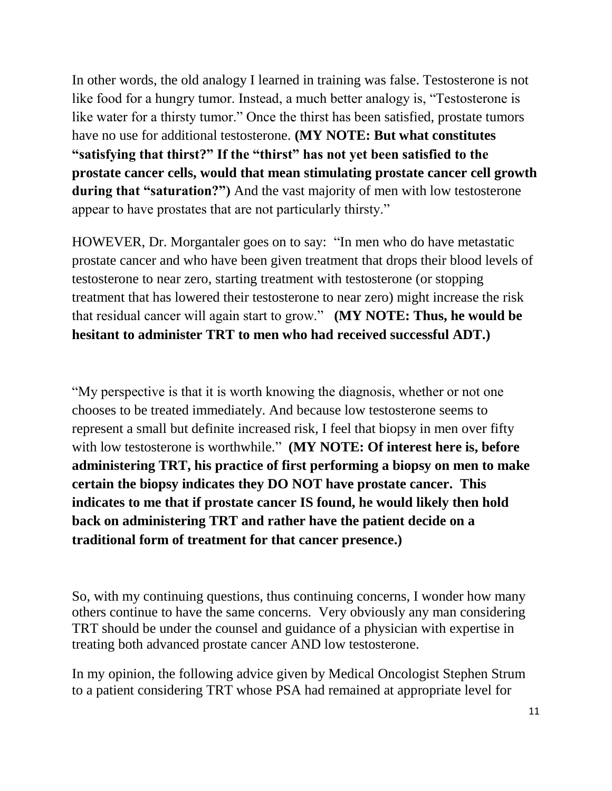In other words, the old analogy I learned in training was false. Testosterone is not like food for a hungry tumor. Instead, a much better analogy is, "Testosterone is like water for a thirsty tumor." Once the thirst has been satisfied, prostate tumors have no use for additional testosterone. **(MY NOTE: But what constitutes "satisfying that thirst?" If the "thirst" has not yet been satisfied to the prostate cancer cells, would that mean stimulating prostate cancer cell growth during that "saturation?")** And the vast majority of men with low testosterone appear to have prostates that are not particularly thirsty."

HOWEVER, Dr. Morgantaler goes on to say: "In men who do have metastatic prostate cancer and who have been given treatment that drops their blood levels of testosterone to near zero, starting treatment with testosterone (or stopping treatment that has lowered their testosterone to near zero) might increase the risk that residual cancer will again start to grow." **(MY NOTE: Thus, he would be hesitant to administer TRT to men who had received successful ADT.)**

"My perspective is that it is worth knowing the diagnosis, whether or not one chooses to be treated immediately. And because low testosterone seems to represent a small but definite increased risk, I feel that biopsy in men over fifty with low testosterone is worthwhile." **(MY NOTE: Of interest here is, before administering TRT, his practice of first performing a biopsy on men to make certain the biopsy indicates they DO NOT have prostate cancer. This indicates to me that if prostate cancer IS found, he would likely then hold back on administering TRT and rather have the patient decide on a traditional form of treatment for that cancer presence.)**

So, with my continuing questions, thus continuing concerns, I wonder how many others continue to have the same concerns. Very obviously any man considering TRT should be under the counsel and guidance of a physician with expertise in treating both advanced prostate cancer AND low testosterone.

In my opinion, the following advice given by Medical Oncologist Stephen Strum to a patient considering TRT whose PSA had remained at appropriate level for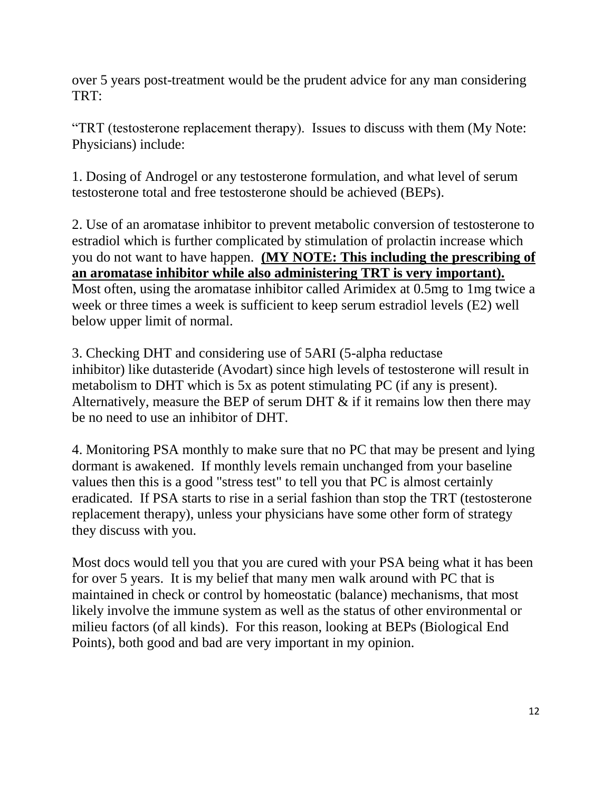over 5 years post-treatment would be the prudent advice for any man considering TRT:

"TRT (testosterone replacement therapy). Issues to discuss with them (My Note: Physicians) include:

1. Dosing of Androgel or any testosterone formulation, and what level of serum testosterone total and free testosterone should be achieved (BEPs).

2. Use of an aromatase inhibitor to prevent metabolic conversion of testosterone to estradiol which is further complicated by stimulation of prolactin increase which you do not want to have happen. **(MY NOTE: This including the prescribing of an aromatase inhibitor while also administering TRT is very important).** Most often, using the aromatase inhibitor called Arimidex at 0.5mg to 1mg twice a week or three times a week is sufficient to keep serum estradiol levels (E2) well below upper limit of normal.

3. Checking DHT and considering use of 5ARI (5-alpha reductase inhibitor) like dutasteride (Avodart) since high levels of testosterone will result in metabolism to DHT which is 5x as potent stimulating PC (if any is present). Alternatively, measure the BEP of serum DHT  $\&$  if it remains low then there may be no need to use an inhibitor of DHT.

4. Monitoring PSA monthly to make sure that no PC that may be present and lying dormant is awakened. If monthly levels remain unchanged from your baseline values then this is a good "stress test" to tell you that PC is almost certainly eradicated. If PSA starts to rise in a serial fashion than stop the TRT (testosterone replacement therapy), unless your physicians have some other form of strategy they discuss with you.

Most docs would tell you that you are cured with your PSA being what it has been for over 5 years. It is my belief that many men walk around with PC that is maintained in check or control by homeostatic (balance) mechanisms, that most likely involve the immune system as well as the status of other environmental or milieu factors (of all kinds). For this reason, looking at BEPs (Biological End Points), both good and bad are very important in my opinion.